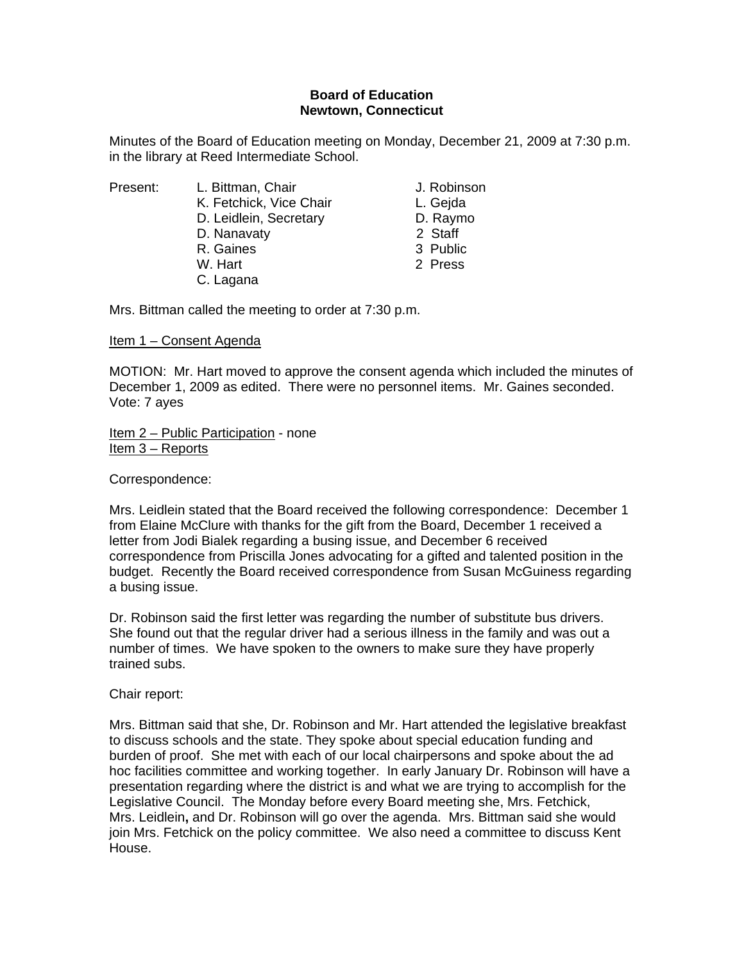# **Board of Education Newtown, Connecticut**

Minutes of the Board of Education meeting on Monday, December 21, 2009 at 7:30 p.m. in the library at Reed Intermediate School.

Present: L. Bittman, Chair Chair J. Robinson

- K. Fetchick, Vice Chair **L. Gejda**
- D. Leidlein, Secretary **D. Raymo**
- D. Nanavaty 2 Staff
- R. Gaines 3 Public
- W. Hart 2 Press

Mrs. Bittman called the meeting to order at 7:30 p.m.

C. Lagana

## Item 1 – Consent Agenda

MOTION: Mr. Hart moved to approve the consent agenda which included the minutes of December 1, 2009 as edited. There were no personnel items. Mr. Gaines seconded. Vote: 7 ayes

Item 2 – Public Participation - none Item 3 – Reports

Correspondence:

Mrs. Leidlein stated that the Board received the following correspondence: December 1 from Elaine McClure with thanks for the gift from the Board, December 1 received a letter from Jodi Bialek regarding a busing issue, and December 6 received correspondence from Priscilla Jones advocating for a gifted and talented position in the budget. Recently the Board received correspondence from Susan McGuiness regarding a busing issue.

Dr. Robinson said the first letter was regarding the number of substitute bus drivers. She found out that the regular driver had a serious illness in the family and was out a number of times. We have spoken to the owners to make sure they have properly trained subs.

Chair report:

Mrs. Bittman said that she, Dr. Robinson and Mr. Hart attended the legislative breakfast to discuss schools and the state. They spoke about special education funding and burden of proof. She met with each of our local chairpersons and spoke about the ad hoc facilities committee and working together. In early January Dr. Robinson will have a presentation regarding where the district is and what we are trying to accomplish for the Legislative Council. The Monday before every Board meeting she, Mrs. Fetchick, Mrs. Leidlein**,** and Dr. Robinson will go over the agenda. Mrs. Bittman said she would join Mrs. Fetchick on the policy committee. We also need a committee to discuss Kent House.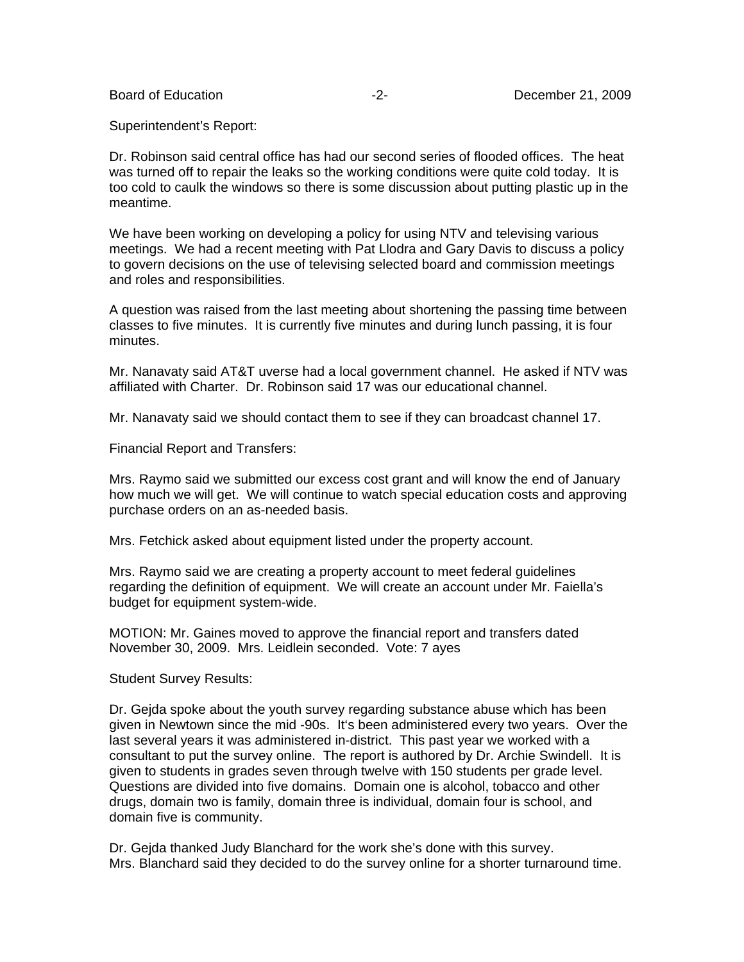Superintendent's Report:

Dr. Robinson said central office has had our second series of flooded offices. The heat was turned off to repair the leaks so the working conditions were quite cold today. It is too cold to caulk the windows so there is some discussion about putting plastic up in the meantime.

We have been working on developing a policy for using NTV and televising various meetings. We had a recent meeting with Pat Llodra and Gary Davis to discuss a policy to govern decisions on the use of televising selected board and commission meetings and roles and responsibilities.

A question was raised from the last meeting about shortening the passing time between classes to five minutes. It is currently five minutes and during lunch passing, it is four minutes.

Mr. Nanavaty said AT&T uverse had a local government channel. He asked if NTV was affiliated with Charter. Dr. Robinson said 17 was our educational channel.

Mr. Nanavaty said we should contact them to see if they can broadcast channel 17.

Financial Report and Transfers:

Mrs. Raymo said we submitted our excess cost grant and will know the end of January how much we will get. We will continue to watch special education costs and approving purchase orders on an as-needed basis.

Mrs. Fetchick asked about equipment listed under the property account.

Mrs. Raymo said we are creating a property account to meet federal guidelines regarding the definition of equipment. We will create an account under Mr. Faiella's budget for equipment system-wide.

MOTION: Mr. Gaines moved to approve the financial report and transfers dated November 30, 2009. Mrs. Leidlein seconded. Vote: 7 ayes

Student Survey Results:

Dr. Gejda spoke about the youth survey regarding substance abuse which has been given in Newtown since the mid -90s. It's been administered every two years. Over the last several years it was administered in-district. This past year we worked with a consultant to put the survey online. The report is authored by Dr. Archie Swindell. It is given to students in grades seven through twelve with 150 students per grade level. Questions are divided into five domains. Domain one is alcohol, tobacco and other drugs, domain two is family, domain three is individual, domain four is school, and domain five is community.

Dr. Gejda thanked Judy Blanchard for the work she's done with this survey. Mrs. Blanchard said they decided to do the survey online for a shorter turnaround time.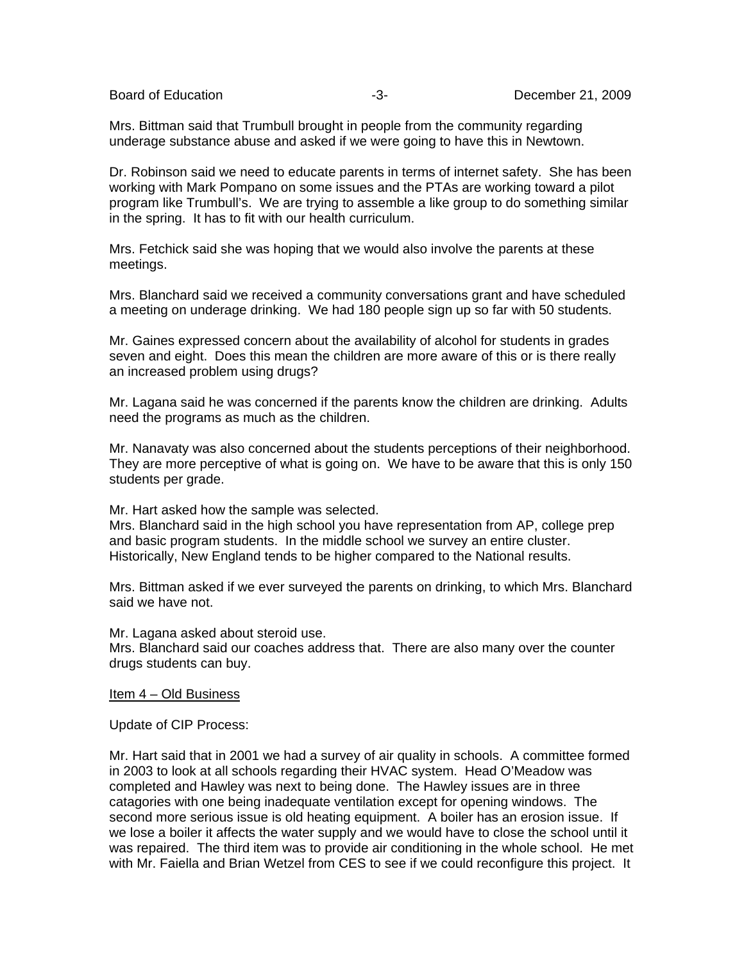Mrs. Bittman said that Trumbull brought in people from the community regarding underage substance abuse and asked if we were going to have this in Newtown.

Dr. Robinson said we need to educate parents in terms of internet safety. She has been working with Mark Pompano on some issues and the PTAs are working toward a pilot program like Trumbull's. We are trying to assemble a like group to do something similar in the spring. It has to fit with our health curriculum.

Mrs. Fetchick said she was hoping that we would also involve the parents at these meetings.

Mrs. Blanchard said we received a community conversations grant and have scheduled a meeting on underage drinking. We had 180 people sign up so far with 50 students.

Mr. Gaines expressed concern about the availability of alcohol for students in grades seven and eight. Does this mean the children are more aware of this or is there really an increased problem using drugs?

Mr. Lagana said he was concerned if the parents know the children are drinking. Adults need the programs as much as the children.

Mr. Nanavaty was also concerned about the students perceptions of their neighborhood. They are more perceptive of what is going on. We have to be aware that this is only 150 students per grade.

Mr. Hart asked how the sample was selected.

Mrs. Blanchard said in the high school you have representation from AP, college prep and basic program students. In the middle school we survey an entire cluster. Historically, New England tends to be higher compared to the National results.

Mrs. Bittman asked if we ever surveyed the parents on drinking, to which Mrs. Blanchard said we have not.

Mr. Lagana asked about steroid use.

Mrs. Blanchard said our coaches address that. There are also many over the counter drugs students can buy.

#### Item 4 – Old Business

Update of CIP Process:

Mr. Hart said that in 2001 we had a survey of air quality in schools. A committee formed in 2003 to look at all schools regarding their HVAC system. Head O'Meadow was completed and Hawley was next to being done. The Hawley issues are in three catagories with one being inadequate ventilation except for opening windows. The second more serious issue is old heating equipment. A boiler has an erosion issue. If we lose a boiler it affects the water supply and we would have to close the school until it was repaired. The third item was to provide air conditioning in the whole school. He met with Mr. Faiella and Brian Wetzel from CES to see if we could reconfigure this project. It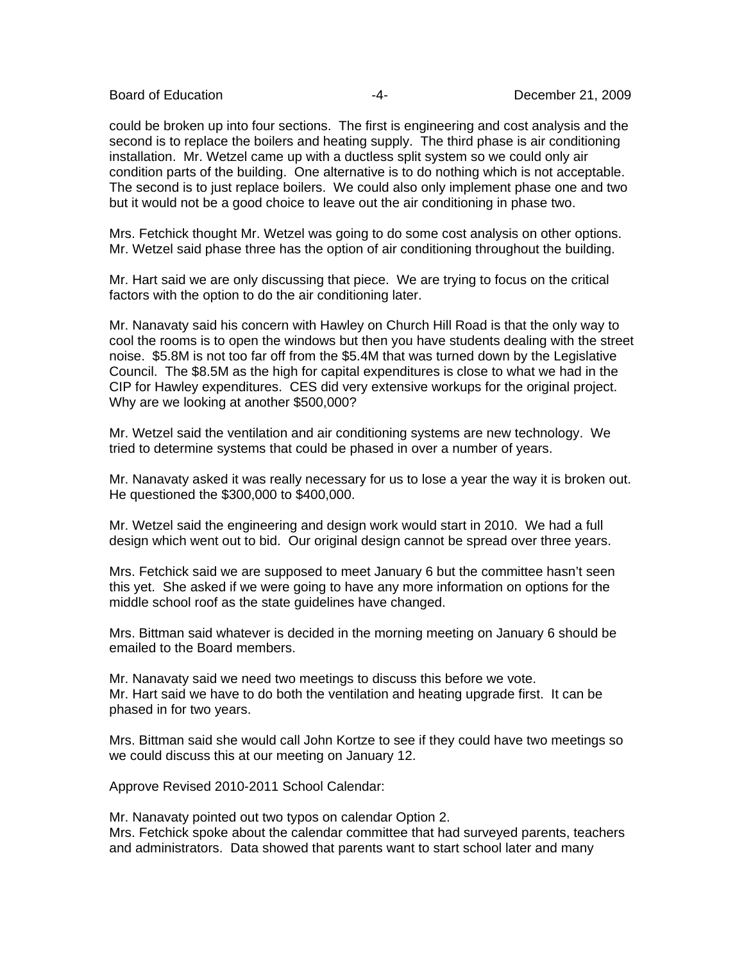could be broken up into four sections. The first is engineering and cost analysis and the second is to replace the boilers and heating supply. The third phase is air conditioning installation. Mr. Wetzel came up with a ductless split system so we could only air condition parts of the building. One alternative is to do nothing which is not acceptable. The second is to just replace boilers. We could also only implement phase one and two but it would not be a good choice to leave out the air conditioning in phase two.

Mrs. Fetchick thought Mr. Wetzel was going to do some cost analysis on other options. Mr. Wetzel said phase three has the option of air conditioning throughout the building.

Mr. Hart said we are only discussing that piece. We are trying to focus on the critical factors with the option to do the air conditioning later.

Mr. Nanavaty said his concern with Hawley on Church Hill Road is that the only way to cool the rooms is to open the windows but then you have students dealing with the street noise. \$5.8M is not too far off from the \$5.4M that was turned down by the Legislative Council. The \$8.5M as the high for capital expenditures is close to what we had in the CIP for Hawley expenditures. CES did very extensive workups for the original project. Why are we looking at another \$500,000?

Mr. Wetzel said the ventilation and air conditioning systems are new technology. We tried to determine systems that could be phased in over a number of years.

Mr. Nanavaty asked it was really necessary for us to lose a year the way it is broken out. He questioned the \$300,000 to \$400,000.

Mr. Wetzel said the engineering and design work would start in 2010. We had a full design which went out to bid. Our original design cannot be spread over three years.

Mrs. Fetchick said we are supposed to meet January 6 but the committee hasn't seen this yet. She asked if we were going to have any more information on options for the middle school roof as the state guidelines have changed.

Mrs. Bittman said whatever is decided in the morning meeting on January 6 should be emailed to the Board members.

Mr. Nanavaty said we need two meetings to discuss this before we vote. Mr. Hart said we have to do both the ventilation and heating upgrade first. It can be phased in for two years.

Mrs. Bittman said she would call John Kortze to see if they could have two meetings so we could discuss this at our meeting on January 12.

Approve Revised 2010-2011 School Calendar:

Mr. Nanavaty pointed out two typos on calendar Option 2. Mrs. Fetchick spoke about the calendar committee that had surveyed parents, teachers and administrators. Data showed that parents want to start school later and many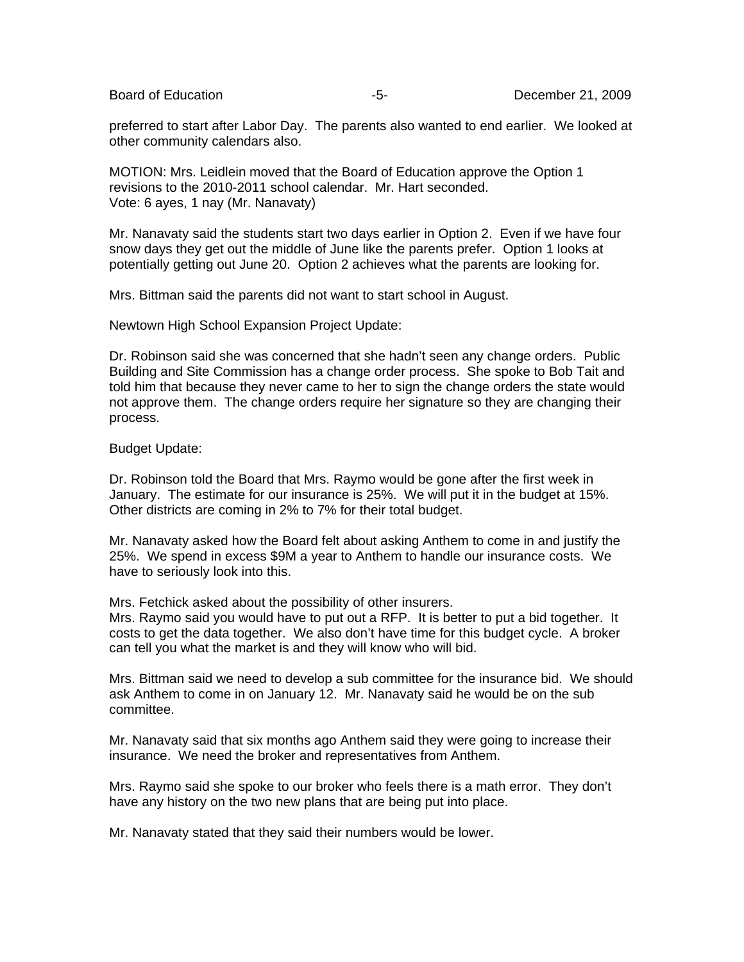preferred to start after Labor Day. The parents also wanted to end earlier. We looked at other community calendars also.

MOTION: Mrs. Leidlein moved that the Board of Education approve the Option 1 revisions to the 2010-2011 school calendar. Mr. Hart seconded. Vote: 6 ayes, 1 nay (Mr. Nanavaty)

Mr. Nanavaty said the students start two days earlier in Option 2. Even if we have four snow days they get out the middle of June like the parents prefer. Option 1 looks at potentially getting out June 20. Option 2 achieves what the parents are looking for.

Mrs. Bittman said the parents did not want to start school in August.

Newtown High School Expansion Project Update:

Dr. Robinson said she was concerned that she hadn't seen any change orders. Public Building and Site Commission has a change order process. She spoke to Bob Tait and told him that because they never came to her to sign the change orders the state would not approve them. The change orders require her signature so they are changing their process.

## Budget Update:

Dr. Robinson told the Board that Mrs. Raymo would be gone after the first week in January. The estimate for our insurance is 25%. We will put it in the budget at 15%. Other districts are coming in 2% to 7% for their total budget.

Mr. Nanavaty asked how the Board felt about asking Anthem to come in and justify the 25%. We spend in excess \$9M a year to Anthem to handle our insurance costs. We have to seriously look into this.

Mrs. Fetchick asked about the possibility of other insurers.

Mrs. Raymo said you would have to put out a RFP. It is better to put a bid together. It costs to get the data together. We also don't have time for this budget cycle. A broker can tell you what the market is and they will know who will bid.

Mrs. Bittman said we need to develop a sub committee for the insurance bid. We should ask Anthem to come in on January 12. Mr. Nanavaty said he would be on the sub committee.

Mr. Nanavaty said that six months ago Anthem said they were going to increase their insurance. We need the broker and representatives from Anthem.

Mrs. Raymo said she spoke to our broker who feels there is a math error. They don't have any history on the two new plans that are being put into place.

Mr. Nanavaty stated that they said their numbers would be lower.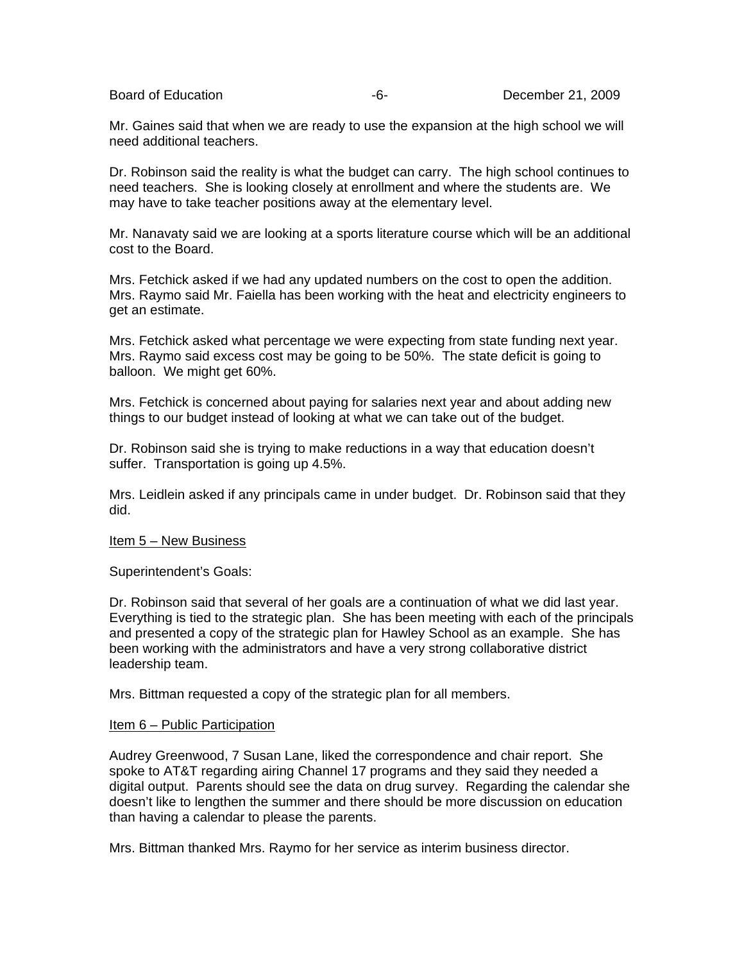Mr. Gaines said that when we are ready to use the expansion at the high school we will need additional teachers.

Dr. Robinson said the reality is what the budget can carry. The high school continues to need teachers. She is looking closely at enrollment and where the students are. We may have to take teacher positions away at the elementary level.

Mr. Nanavaty said we are looking at a sports literature course which will be an additional cost to the Board.

Mrs. Fetchick asked if we had any updated numbers on the cost to open the addition. Mrs. Raymo said Mr. Faiella has been working with the heat and electricity engineers to get an estimate.

Mrs. Fetchick asked what percentage we were expecting from state funding next year. Mrs. Raymo said excess cost may be going to be 50%. The state deficit is going to balloon. We might get 60%.

Mrs. Fetchick is concerned about paying for salaries next year and about adding new things to our budget instead of looking at what we can take out of the budget.

Dr. Robinson said she is trying to make reductions in a way that education doesn't suffer. Transportation is going up 4.5%.

Mrs. Leidlein asked if any principals came in under budget. Dr. Robinson said that they did.

### Item 5 – New Business

Superintendent's Goals:

Dr. Robinson said that several of her goals are a continuation of what we did last year. Everything is tied to the strategic plan. She has been meeting with each of the principals and presented a copy of the strategic plan for Hawley School as an example. She has been working with the administrators and have a very strong collaborative district leadership team.

Mrs. Bittman requested a copy of the strategic plan for all members.

### Item 6 – Public Participation

Audrey Greenwood, 7 Susan Lane, liked the correspondence and chair report. She spoke to AT&T regarding airing Channel 17 programs and they said they needed a digital output. Parents should see the data on drug survey. Regarding the calendar she doesn't like to lengthen the summer and there should be more discussion on education than having a calendar to please the parents.

Mrs. Bittman thanked Mrs. Raymo for her service as interim business director.